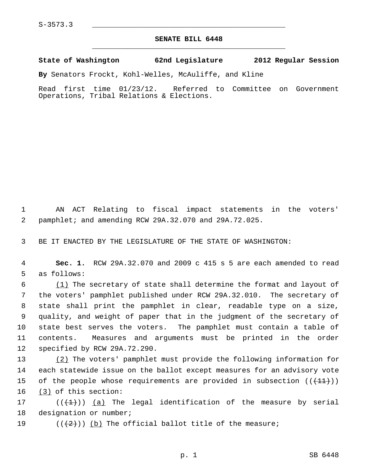## **SENATE BILL 6448** \_\_\_\_\_\_\_\_\_\_\_\_\_\_\_\_\_\_\_\_\_\_\_\_\_\_\_\_\_\_\_\_\_\_\_\_\_\_\_\_\_\_\_\_\_

**State of Washington 62nd Legislature 2012 Regular Session**

**By** Senators Frockt, Kohl-Welles, McAuliffe, and Kline

Read first time 01/23/12. Referred to Committee on Government Operations, Tribal Relations & Elections.

 1 AN ACT Relating to fiscal impact statements in the voters' 2 pamphlet; and amending RCW 29A.32.070 and 29A.72.025.

3 BE IT ENACTED BY THE LEGISLATURE OF THE STATE OF WASHINGTON:

 4 **Sec. 1.** RCW 29A.32.070 and 2009 c 415 s 5 are each amended to read 5 as follows:

 $\frac{(1)}{1}$  The secretary of state shall determine the format and layout of 7 the voters' pamphlet published under RCW 29A.32.010. The secretary of 8 state shall print the pamphlet in clear, readable type on a size, 9 quality, and weight of paper that in the judgment of the secretary of 10 state best serves the voters. The pamphlet must contain a table of 11 contents. Measures and arguments must be printed in the order 12 specified by RCW 29A.72.290.

13 (2) The voters' pamphlet must provide the following information for 14 each statewide issue on the ballot except measures for an advisory vote 15 of the people whose requirements are provided in subsection  $((+11))$ 16 (3) of this section:

17 ( $(\{\pm\})$ ) (a) The legal identification of the measure by serial 18 designation or number;

19 ( $(\langle 2 \rangle)$ ) (b) The official ballot title of the measure;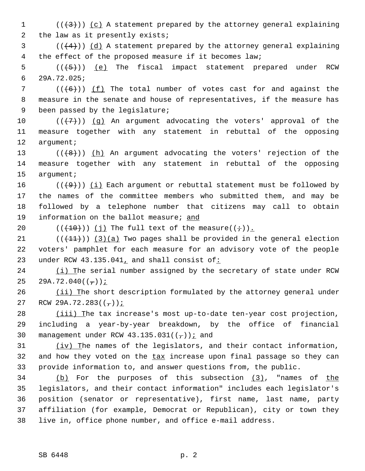1  $((+3))$   $(c)$  A statement prepared by the attorney general explaining 2 the law as it presently exists;

 $(1+4)$ ) (d) A statement prepared by the attorney general explaining 4 the effect of the proposed measure if it becomes law;

 $5$  (( $(5)$ )) (e) The fiscal impact statement prepared under RCW 6 29A.72.025;

 $7$  ( $(\overline{6})$ ) (f) The total number of votes cast for and against the 8 measure in the senate and house of representatives, if the measure has 9 been passed by the legislature;

10  $((+7)^{n})$  (q) An argument advocating the voters' approval of the 11 measure together with any statement in rebuttal of the opposing 12 argument;

13 ( $(\{8\})$ ) (h) An argument advocating the voters' rejection of the 14 measure together with any statement in rebuttal of the opposing 15 argument;

16 ( $(\overline{+9})$ ) (i) Each argument or rebuttal statement must be followed by 17 the names of the committee members who submitted them, and may be 18 followed by a telephone number that citizens may call to obtain 19 information on the ballot measure; and

20  $((\overline{(10)}))(j)$  The full text of the measure $((\div)).$ 

21  $((+11))$   $(3)(a)$  Two pages shall be provided in the general election 22 voters' pamphlet for each measure for an advisory vote of the people 23 under RCW 43.135.041, and shall consist of:

24 (i) The serial number assigned by the secretary of state under RCW 25 29A.72.040 $((-))$ ;

26 (ii) The short description formulated by the attorney general under 27 RCW 29A.72.283( $(-)$ );

28 (iii) The tax increase's most up-to-date ten-year cost projection, 29 including a year-by-year breakdown, by the office of financial 30 management under RCW  $43.135.031((-))$ ; and

31 (iv) The names of the legislators, and their contact information, 32 and how they voted on the tax increase upon final passage so they can 33 provide information to, and answer questions from, the public.

34 (b) For the purposes of this subsection (3), "names of the 35 legislators, and their contact information" includes each legislator's 36 position (senator or representative), first name, last name, party 37 affiliation (for example, Democrat or Republican), city or town they 38 live in, office phone number, and office e-mail address.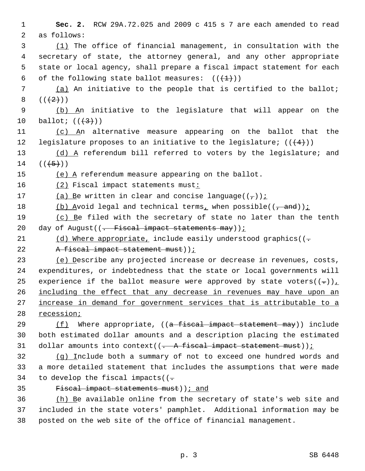1 **Sec. 2.** RCW 29A.72.025 and 2009 c 415 s 7 are each amended to read 2 as follows:

 3 (1) The office of financial management, in consultation with the 4 secretary of state, the attorney general, and any other appropriate 5 state or local agency, shall prepare a fiscal impact statement for each 6 of the following state ballot measures:  $((+1))$ 

 7 (a) An initiative to the people that is certified to the ballot;  $8 ((+2))$ 

 9 (b) An initiative to the legislature that will appear on the 10 ballot;  $((+3))$ 

11 (c) An alternative measure appearing on the ballot that the 12 legislature proposes to an initiative to the legislature;  $((\langle 4 \rangle))$ 

13 (d) A referendum bill referred to voters by the legislature; and  $14$   $((+5)$ )

15 (e) A referendum measure appearing on the ballot.

16 (2) Fiscal impact statements must:

17 (a) Be written in clear and concise language( $(\frac{\tau}{l})$ );

18 (b) Avoid legal and technical terms, when possible( $(\frac{1}{1}$  and));

19 (c) Be filed with the secretary of state no later than the tenth 20 day of August $(( -$  Fiscal impact statements may));

21 (d) Where appropriate, include easily understood graphics( $(-$ 

22 A fiscal impact statement must));

 (e) Describe any projected increase or decrease in revenues, costs, 24 expenditures, or indebtedness that the state or local governments will 25 experience if the ballot measure were approved by state voters( $(-)$ ), including the effect that any decrease in revenues may have upon an increase in demand for government services that is attributable to a recession;

29 (f) Where appropriate, ((a fiscal impact statement may)) include 30 both estimated dollar amounts and a description placing the estimated 31 dollar amounts into context( $(-$  A fiscal impact statement must));

32 (g) Include both a summary of not to exceed one hundred words and 33 a more detailed statement that includes the assumptions that were made 34 to develop the fiscal impacts  $( - \frac{1}{2})$ 

35 Fiscal impact statements must)); and

36 (h) Be available online from the secretary of state's web site and 37 included in the state voters' pamphlet. Additional information may be 38 posted on the web site of the office of financial management.